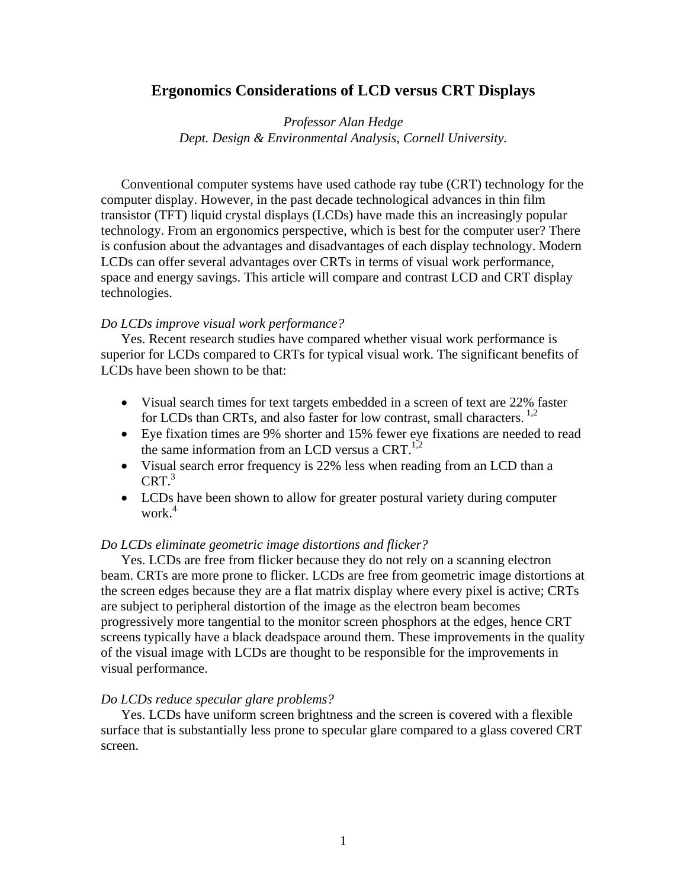# **Ergonomics Considerations of LCD versus CRT Displays**

*Professor Alan Hedge Dept. Design & Environmental Analysis, Cornell University.*

Conventional computer systems have used cathode ray tube (CRT) technology for the computer display. However, in the past decade technological advances in thin film transistor (TFT) liquid crystal displays (LCDs) have made this an increasingly popular technology. From an ergonomics perspective, which is best for the computer user? There is confusion about the advantages and disadvantages of each display technology. Modern LCDs can offer several advantages over CRTs in terms of visual work performance, space and energy savings. This article will compare and contrast LCD and CRT display technologies.

#### *Do LCDs improve visual work performance?*

Yes. Recent research studies have compared whether visual work performance is superior for LCDs compared to CRTs for typical visual work. The significant benefits of LCDs have been shown to be that:

- Visual search times for text targets embedded in a screen of text are 22% faster for LCDs than CRTs, and also faster for low contrast, small characters.<sup>1,2</sup>
- Eye fixation times are 9% shorter and 15% fewer eye fixations are needed to read the same information from an LCD versus a CRT. $^{1,2}$
- Visual search error frequency is 22% less when reading from an LCD than a  $CRT^3$
- LCDs have been shown to allow for greater postural variety during computer work. $4$

#### *Do LCDs eliminate geometric image distortions and flicker?*

Yes. LCDs are free from flicker because they do not rely on a scanning electron beam. CRTs are more prone to flicker. LCDs are free from geometric image distortions at the screen edges because they are a flat matrix display where every pixel is active; CRTs are subject to peripheral distortion of the image as the electron beam becomes progressively more tangential to the monitor screen phosphors at the edges, hence CRT screens typically have a black deadspace around them. These improvements in the quality of the visual image with LCDs are thought to be responsible for the improvements in visual performance.

#### *Do LCDs reduce specular glare problems?*

Yes. LCDs have uniform screen brightness and the screen is covered with a flexible surface that is substantially less prone to specular glare compared to a glass covered CRT screen.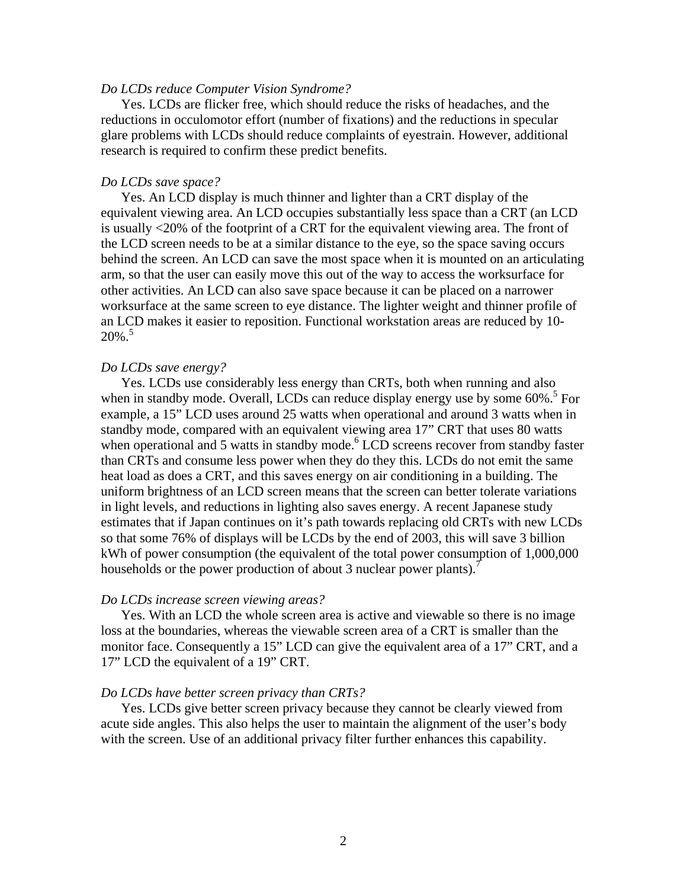### *Do LCDs reduce Computer Vision Syndrome?*

Yes. LCDs are flicker free, which should reduce the risks of headaches, and the reductions in occulomotor effort (number of fixations) and the reductions in specular glare problems with LCDs should reduce complaints of eyestrain. However, additional research is required to confirm these predict benefits.

### *Do LCDs save space?*

Yes. An LCD display is much thinner and lighter than a CRT display of the equivalent viewing area. An LCD occupies substantially less space than a CRT (an LCD is usually <20% of the footprint of a CRT for the equivalent viewing area. The front of the LCD screen needs to be at a similar distance to the eye, so the space saving occurs behind the screen. An LCD can save the most space when it is mounted on an articulating arm, so that the user can easily move this out of the way to access the worksurface for other activities. An LCD can also save space because it can be placed on a narrower worksurface at the same screen to eye distance. The lighter weight and thinner profile of an LCD makes it easier to reposition. Functional workstation areas are reduced by 10-  $20\%$ .<sup>5</sup>

### *Do LCDs save energy?*

Yes. LCDs use considerably less energy than CRTs, both when running and also when in standby mode. Overall, LCDs can reduce display energy use by some 60%.<sup>5</sup> For example, a 15" LCD uses around 25 watts when operational and around 3 watts when in standby mode, compared with an equivalent viewing area 17" CRT that uses 80 watts when operational and 5 watts in standby mode.<sup>6</sup> LCD screens recover from standby faster than CRTs and consume less power when they do they this. LCDs do not emit the same heat load as does a CRT, and this saves energy on air conditioning in a building. The uniform brightness of an LCD screen means that the screen can better tolerate variations in light levels, and reductions in lighting also saves energy. A recent Japanese study estimates that if Japan continues on it's path towards replacing old CRTs with new LCDs so that some 76% of displays will be LCDs by the end of 2003, this will save 3 billion kWh of power consumption (the equivalent of the total power consumption of 1,000,000 households or the power production of about 3 nuclear power plants).<sup>7</sup>

#### *Do LCDs increase screen viewing areas?*

Yes. With an LCD the whole screen area is active and viewable so there is no image loss at the boundaries, whereas the viewable screen area of a CRT is smaller than the monitor face. Consequently a 15" LCD can give the equivalent area of a 17" CRT, and a 17" LCD the equivalent of a 19" CRT.

#### *Do LCDs have better screen privacy than CRTs?*

Yes. LCDs give better screen privacy because they cannot be clearly viewed from acute side angles. This also helps the user to maintain the alignment of the user's body with the screen. Use of an additional privacy filter further enhances this capability.